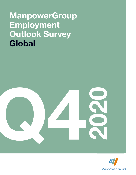# ManpowerGroup **Employment** Outlook Survey **Global**



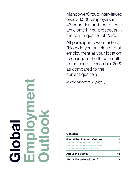ManpowerGroup interviewed over 38,000 employers in 43 countries and territories to anticipate hiring prospects in the fourth quarter of 2020.

All participants were asked, "How do you anticipate total employment at your location to change in the three months to the end of December 2020 as compared to the current quarter?"

(Additional details on page 1)

### **Contents**

| About ManpowerGroup <sup>®</sup>         | 18 |  |
|------------------------------------------|----|--|
| <b>About the Survey</b>                  | 18 |  |
| International Comparisons - EMEA         | 10 |  |
| International Comparisons - Asia Pacific | 7  |  |
| International Comparisons - Americas     | 3  |  |
| <b>Global Employment Outlook</b>         | 1  |  |

Balo<br>Bolo Employment Outlook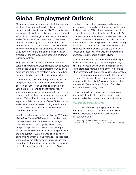## Global Employment Outlook

ManpowerGroup interviewed over 38,000 employers in 43 countries and territories to anticipate hiring prospects\* in the fourth quarter of 2020. All participants were asked, "How do you anticipate total employment at your location to change in the three months to the end of December 2020 as compared to the current quarter?" Interviewing was carried out during the exceptional circumstances of the COVID-19 outbreak. The survey findings for the October to December 2020 period reflect the impact of the global health emergency, and the subsequent economic shutdown in many countries.

Employers in 22 of the 43 countries and territories surveyed by ManpowerGroup expect to add to payrolls in the period up to the end of December 2020. In 16 countries and territories employers expect to reduce payrolls, while flat hiring activity is forecast in five.

When compared with the third quarter of 2020, hiring prospects improve in 37 countries and territories, but weaken in five, with no change reported in one. Employers in 41 countries and territories report weaker hiring plans when compared with this time one year ago, with no change in one and an improvement in one – Turkey. The strongest labor markets are expected in Taiwan, the United States, Turkey, Japan and Greece, while the weakest hiring intentions are reported in Panama, Costa Rica, South Africa, Colombia and the UK.

Workforce gains are expected in 13 of the 26 Europe, Middle East & Africa (EMEA) region countries during the next three months, while employers in eight countries expect to trim payrolls, with flat hiring prospects reported in five. Hiring plans strengthen in 24 of the 26 EMEA countries when compared with the third quarter of 2020, but weaken in 25 when compared with this time one year ago. The strongest labor markets are anticipated in Turkey, Greece and Poland, while the weakest hiring activity is expected by employers in South Africa, the UK and Croatia.

Employers in five of the seven Asia Pacific countries and territories surveyed expect to grow payrolls during the final quarter of 2020, while a decrease is anticipated in two. Hiring plans strengthen in four of the region's countries and territories when compared with the prior quarter, but weaken in three. In a comparison with the fourth quarter of 2019, employers report weaker hiring sentiment in six countries and territories. The strongest hiring activity for the coming quarter is expected in Taiwan and Japan, while the weakest labor markets are forecast in Singapore and Hong Kong.

In four of the 10 Americas countries employers expect to add to payrolls during the forthcoming quarter, while a decrease is anticipated in the remaining six. Hiring prospects improve in nine of the 10 countries when compared with the previous quarter, but weaken in all 10 countries when compared with this time one year ago. The strongest fourth quarter hiring intentions are reported in the United States and Canada, while employers in Panama, Costa Rica and Colombia report the weakest hiring plans.

Full survey results for each of the 43 countries and territories included in this quarter's survey, plus regional and global comparisons, can be found at

### www.manpowergroup.com/meos

The next ManpowerGroup Employment Outlook Survey will be released on 8 December 2020 and will detail expected labor market activity for the first quarter of 2021.

\* Commentary is based on seasonally adjusted data where available. Data is not seasonally adjusted for Croatia or Portugal.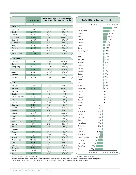|                                  | Quarter 4 2020               | <b>Qtr on Qtr Change</b><br>Q3 2020 to Q4 2020 | <b>Yr on Yr Change</b><br>Q4 2019 to Q4 2020 | Quarter              |
|----------------------------------|------------------------------|------------------------------------------------|----------------------------------------------|----------------------|
|                                  | $\%$                         |                                                |                                              |                      |
| <b>Americas</b>                  |                              |                                                |                                              | Taiwan               |
| Argentina                        | $-3(-3)^1$                   | $6(5)^{1}$                                     | $-5(-5)^1$                                   | <b>United States</b> |
| <b>Brazil</b>                    | $-6(-3)^1$                   | $8(11)^1$                                      | $-14$ $(-14)^1$                              | Turkey               |
| Canada                           | $3(6)^1$                     | $8(15)^1$                                      | $-6(-6)^{1}$                                 |                      |
| Colombia                         | $-10(-11)^1$                 | $8(7)^1$                                       | $-19(-19)^1$                                 | Japan<br>Greece      |
| Costa Rica                       | $-16(-16)^1$                 | $7(4)^1$                                       | $-18(-18)^1$                                 |                      |
| Guatemala                        | $-5(-6)^1$                   | $8(4)^1$                                       | $-15$ $(-14)^1$                              | Canada               |
| Mexico                           | $0(1)^1$                     | $9(10)^1$                                      | $-8(-8)^1$                                   | Poland               |
| Panama                           | $-18(-18)^1$                 | $-6(-7)^1$                                     | $-23(-23)^{1}$                               | China                |
| Peru                             | $-1(1)^1$                    | $18(19)^1$                                     | $-7$ $(-7)^1$                                | Czech Republi        |
| <b>United States</b>             | $12(14)^1$                   | $6(11)^1$                                      | $-5(-6)^1$                                   | France               |
|                                  |                              |                                                |                                              | India                |
| <b>Asia Pacific</b><br>Australia |                              |                                                | $-10(-10)^1$                                 | Romania              |
| China                            | $2(1)^{1}$<br>$4(4)^1$       | $16(12)^1$<br>$1(1)^1$                         | $O (O)^1$                                    | Germany              |
|                                  |                              |                                                | $-16(-16)^1$                                 | Hungary              |
| Hong Kong                        | $-2(-2)^{1}$                 | $-2(-2)^{1}$                                   |                                              | Portugal             |
| India                            | $4(3)^{1}$                   | $1(-1)^1$                                      | $-16(-16)^1$                                 | Australia            |
| Japan                            | $5(9)^1$<br>$-3(-3)^{1}$     | $-4(-4)^1$<br>$24(25)^1$                       | $-18(-18)^1$<br>$-8(-8)^1$                   | <b>Bulgaria</b>      |
| Singapore<br>Taiwan              | $18(20)^1$                   | 11 $(17)^1$                                    | $-2(-2)^{1}$                                 | Finland              |
|                                  |                              |                                                |                                              | Mexico               |
| $EMEA^{\dagger}$                 |                              |                                                |                                              | Peru                 |
| Austria                          | $-3(-1)^{1}$                 | $-3(2)^{1}$                                    | $-9(-8)^1$                                   | Slovakia             |
| Belgium                          | $O(0)^1$                     | $5(5)^1$                                       | $-13(-13)^1$                                 | Switzerland          |
| <b>Bulgaria</b>                  | $-2(1)^1$                    | $4(9)^{1}$                                     | $-8(-8)^{1}$                                 | Belgium              |
| Croatia                          | $-6$                         | $-8$                                           | $-13$                                        | Israel               |
| Czech Republic                   | $1(3)^1$                     | $5(10)^1$                                      | $-4(-4)^1$                                   | Norway               |
| Finland                          | $-7(1)^1$                    | $-7(4)^1$                                      | $-8(-8)^1$                                   | Slovenia             |
| France                           | $2(3)^{1}$                   | $10(14)^1$                                     | $-9(-9)^{1}$                                 |                      |
| Germany                          | $3(2)^{1}$                   | $1(2)^1$                                       | $-9(-9)^1$                                   | Sweden               |
| Greece                           | $0(8)^1$                     | $2(15)^1$                                      | $-12$ $(-11)^1$                              | Austria              |
| Hungary                          | $2(2)^{1}$                   | $7(7)^1$                                       | $-4$ $(-5)^1$                                | Italy                |
| Ireland                          | $-4$ $(-2)^{1}$              | $5(9)^1$                                       | $-14(-14)^{1}$                               | Hong Kong            |
| Israel                           | $-2$ (0) <sup>1</sup>        | $5(10)^1$                                      | $-7$ $(-7)^1$                                | Ireland              |
| Italy                            | $-4$ $(-1)^1$                | $-1$ (3) <sup>1</sup>                          | $-8(-8)^1$                                   | Argentina            |
| Netherlands                      | $-2(-3)^{1}$                 | $1(0)^1$                                       | $-15$ ( $-16$ ) <sup>1</sup>                 | Brazil               |
| Norway                           | $-2(0)^{1}$                  | $2(6)^1$                                       | $-13(-13)^{1}$                               | Netherlands          |
| Poland                           | $5(5)^1$                     | $10(12)^1$                                     | $-3(-3)^1$                                   | Singapore            |
| Portugal                         | 2                            | 11                                             | -8                                           | Spain                |
| Romania                          | $-5(3)^1$                    | $2(17)^1$                                      | $-8(-8)^1$                                   | Croatia              |
| Slovakia                         | $-1(1)^{1}$                  | $11(16)^1$                                     | $-4(-4)^1$                                   | Guatemala            |
| Slovenia                         | $0(0)^1$                     | $7(3)^{1}$                                     | $-16(-16)^1$                                 | United Kingdor       |
| South Africa                     | $-12$ ( $-13$ ) <sup>1</sup> | $7(4)^1$                                       | $-16(-16)^1$                                 | Colombia             |
| Spain                            | $-5(-3)^1$                   | $5(9)^1$                                       | $-9(-9)^1$                                   | South Africa         |
| Sweden                           | $-4$ (0) <sup>1</sup>        | $2(12)^1$                                      | $-10(-10)^1$                                 | Costa Rica           |
| Switzerland                      | $0(1)^{1}$                   | $7(7)^1$                                       | $-4(-4)^1$                                   | Panama               |
| Turkey                           | $7(10)^1$                    | $5(13)^1$                                      | $5(5)^1$                                     |                      |
| UK                               | $-8(-8)^1$                   | $4(4)^1$                                       | $-13(-13)^1$                                 |                      |



†EMEA – Europe, Middle East and Africa.

\* Indicates unadjusted data.

1. Number in parentheses is the Net Employment Outlook when adjusted to remove the impact of seasonal variations in hiring activity. Please note that this data is not available for all countries as a minimum of 17 quarters worth of data is required.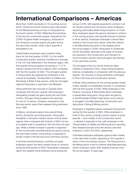## International Comparisons – Americas

More than 15,800 employers in 10 countries across North, Central and South America were interviewed for the ManpowerGroup survey on hiring plans for the fourth quarter of 2020. Reflecting the backdrop of the second consecutive quarter impacted by the COVID-19 global health emergency, employers in four Americas countries expect job gains during the next three months, while a dip in payrolls is anticipated in six.

United States employers report positive hiring plans for the final quarter of 2020. For the twelfth consecutive quarter, employer confidence is stronger in the U.S. than elsewhere in the Americas region, with final quarter hiring prospects recovering in 11 of 12 industry sectors and all four regions when compared with the third quarter of 2020. The strongest upticks in hiring activity are expected by employers in the Leisure & Hospitality, Transportation & Utilities and Wholesale & Retail Trade sectors, while the strongest regional hiring pace is reported in the Midwest.

Hiring sentiment also recovers in Canada when compared with the prior quarter, with employers anticipating modest job gains during the next three months. Stronger hiring prospects are reported for nine of 10 sectors. However, employers in the Services sector report their weakest hiring sentiment since 1996.

In Mexico, employers expect slow-paced hiring activity during the upcoming quarter. Hiring plans strengthen in all seven industry sectors and all seven regions when compared with Quarter 3 2020, but are at a weaker level in comparison with this time one year ago. While a limited increase in payrolls is expected for the Construction and Manufacturing sectors during the next three months, hiring activity is expected to remain muted in the Services and Commerce sectors.

In all three Central American countries surveyed, employers expect the labor market slump to continue during the final quarter of 2020. Panamanian employers report the weakest hiring intentions since joining the

survey in 2010, with payrolls expected to contract in all six industry sectors and Commerce sector employers reporting particularly bleak hiring prospects. In Costa Rica, employers expect the gloomy forecast to continue in the coming quarter, with payrolls forecast to decline in all six sectors. Employers anticipate a dismal labor market in the Construction sector, while the Outlook in the Manufacturing sector is the weakest since the survey began in 2006. Hiring plans in Guatemala remain downbeat, although some signs of recovery are reported in the Construction and Transport & Communication sectors where job gains are forecast in the next three months.

The strongest of the four South American labor markets is expected in Peru, where hiring prospects improve considerably in comparison with the previous quarter. The recovery in hiring sentiment is strongest in Peru's Services and Construction sectors.

In Brazil, hiring intentions for the coming quarter remain muted, despite a considerable recovery in comparison with the third quarter of 2020. While employers in the Finance, Insurance & Real Estate sector anticipate a respectable hiring pace, hiring plans are gloomy in the Wholesale & Retail Trade sector, and continue to struggle in the Manufacturing, Construction and Agriculture, Fishing & Mining sectors.

Employers in Argentina expect subdued hiring activity during the final quarter of 2020. While employers in three of the country's industry sectors expect to grow payrolls – most notably in the Construction sector – a decline is expected in five, with employers in the Transportation & Utilities and Mining sectors reporting their weakest forecast since the sectors were first analyzed, in 2007 and 2013, respectively.

Colombian employers anticipate a gloomy labor market in the next three months, expecting to trim payrolls in seven of the nine industry sectors. The hiring slump in the Mining sector is set to continue while Manufacturing sector employers report their weakest forecast since the survey began 12 years ago.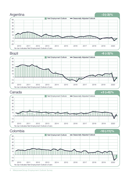

4 ManpowerGroup Employment Outlook Survey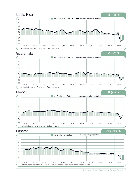





Panama <sup>-18</sup> (-18)%

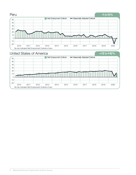

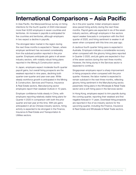## International Comparisons – Asia Pacific

In Asia Pacific, the ManpowerGroup survey on hiring intentions for the fourth quarter of 2020 interviewed more than 9,000 employers in seven countries and territories. An increase in payrolls is anticipated for five countries and territories, although employers in two expect a decline in payrolls.

The strongest labor market in the region during the next three months is expected in Taiwan, where employer sentiment has recovered considerably from the subdued position reported in the prior quarter. Employers anticipate job gains in all seven industry sectors, with notably robust hiring plans reported in the Mining & Construction sector.

In Japan, employers expect moderate fourth quarter payroll gains, but overall hiring prospects are the weakest reported in nine years, declining both quarter-over-quarter and year-over-year. While steady workforce growth is anticipated in the Mining & Construction, Services and Finance, Insurance & Real Estate sectors, Manufacturing sector employers report their weakest Outlook in 10 years.

Employer confidence holds steady in China, with employers reporting relatively stable hiring plans for Quarter 4 2020 in comparison with both the prior quarter and last year at this time. With job gains anticipated in all six Chinese industry sectors, hiring activity is expected to be strongest in the Finance, Insurance & Real Estate and Transportation & Utilities sectors.

As in the prior quarter, Indian employers expect slow-paced hiring activity during the next three months. Payroll gains are expected in six of the seven industry sectors, although employers in five sectors report weaker forecasts in comparison with the third quarter of 2020, and hiring sentiment is weaker in all seven when compared with this time one year ago.

A cautious fourth quarter hiring pace is expected in Australia. Employers indicate a considerable recovery when compared with the gloomy hiring plans reported in Quarter 3 2020, and job gains are expected in four of the seven sectors during the next three months. However, the hiring slump in the Services sector is expected to continue.

Singaporean employers report a sharp improvement in hiring prospects when compared with the prior quarter. However, the labor market is expected to remain subdued in the next three months, reflecting gloomy hiring sentiment in the Manufacturing sector, pessimistic hiring plans in the Wholesale & Retail Trade sector and a soft hiring pace in the Services sector.

In Hong Kong, employers expect to trim payrolls during the coming quarter, reporting their weakest and first negative forecast in 11 years. Downbeat hiring prospects are reported in five of six industry sectors for the upcoming quarter, including the Finance, Insurance & Real Estate and Wholesale & Retail Trade sectors.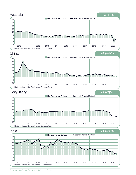

<sup>8</sup> ManpowerGroup Employment Outlook Survey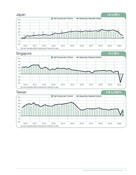





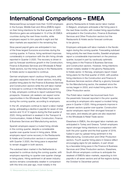## International Comparisons – EMEA

ManpowerGroup surveyed more than 13,000 employers in the Europe, Middle East and Africa (EMEA) region on their hiring intentions for the final quarter of 2020. Workforce gains are anticipated in 13 of the 26 EMEA countries during the next three months, while employers expect to trim payrolls in eight and flat labor markets are expected in the remaining five.

Slow-paced payroll gains are anticipated in two of the three largest Eurozone economies during the coming quarter. In France, hiring sentiment improves considerably in comparison with the dim hiring climate reported in Quarter 3 2020. The recovery is driven in part by forecast workforce growth in the Construction, Finance & Business Services and Wholesale & Retail Trade sectors, but the hiring slump in the Restaurants & Hotels sector is expected to continue.

German employers report cautious hiring plans, with job gains expected in five of seven sectors, including positive hiring plans for the Finance & Business Services and Construction sectors while the soft labor market is forecast to continue in the Manufacturing sector. In Italy, employers continue to report subdued hiring prospects. However, job seekers can expect some opportunities in the Wholesale & Retail Trade sector during the coming quarter, according to employers.

In the UK, employers continue to report a labor market slump, anticipating a decline in payrolls for seven of nine sectors and 10 of 12 regions during the final quarter of 2020. Hiring sentiment is weakest in the Transport & Communication, Hotels & Retail, Construction, Finance & Business Services and Manufacturing sectors.

Spanish employers expect a muted hiring climate in the coming quarter, despite a considerable quarter-over-quarter boost in hiring plans. While employers report some recovery in the Restaurants & Hotels and Construction sectors in comparison with Quarter 3 2020, the hiring pace is expected to remain sluggish in both sectors.

The subdued labor market in the Netherlands is expected to continue during the coming quarter, with employers reporting no quarter-over-quarter change in hiring plans. Hiring sentiment in all seven industry sectors remains considerably weaker in comparison with this time one year ago, most notably in the

gloomy Restaurants & Hotels sector labor market. In Belgium, employers anticipate a flat hiring pace in the next three months, with modest hiring opportunities anticipated in the Construction, Finance & Business Services and Other Production sectors but the Restaurants & Hotels sector forecast continues to be gloomy.

Employers anticipate soft labor markets in the Nordic region during the coming quarter. Forecasting subdued hiring activity the next three months, Swedish employers report a considerable improvement on the previous quarter, buoyed in part by cautiously optimistic hiring plans in the Finance & Business Services and Construction sectors. However, hiring intentions remain notably weaker in the gloomy Restaurants & Hotels sector. In Norway, employers report mixed hiring plans for the final quarter of 2020, with positive hiring intentions in the Construction and Finance & Business Services sectors offset by a gloomy forecast for the Manufacturing sector, the weakest since the survey began in 2003, and muted hiring plans in the Other Production sector.

The Polish labor market has bounced back from the pessimistic forecast reported in the prior quarter, according to employers who expect a modest hiring pace in Quarter 4 2020. Hiring prospects improve in all seven sectors quarter-over-quarter. Construction sector employers report their strongest forecast in two years, and steady job gains are also expected in the Wholesale & Retail Trade sector.

Elsewhere in EMEA, the strongest labor markets are anticipated in Turkey and Greece. Turkish employers report stronger hiring intentions in comparison with both the prior quarter and the final quarter of 2019, fueled in part by upbeat hiring sentiment in the Manufacturing, Construction and Other Production sectors. Fourth quarter hiring plans in Greece reflect encouraging signs for job seekers, in part driven by a favorable hiring pace in the Finance & Business Services and Other Production sectors. Elsewhere, South African employers continue to anticipate the weakest of EMEA's labor markets, expecting to trim payrolls in all seven sectors and all five regions during the October to December period.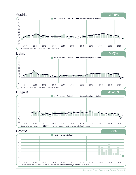







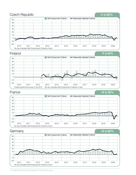

<sup>12</sup> ManpowerGroup Employment Outlook Survey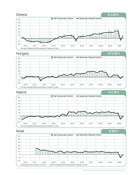

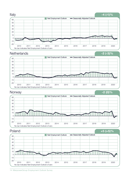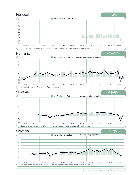



### Slovakia <sup>-1</sup> (+1)%



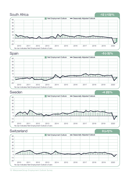

<sup>16</sup> ManpowerGroup Employment Outlook Survey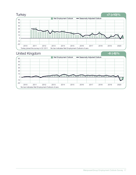